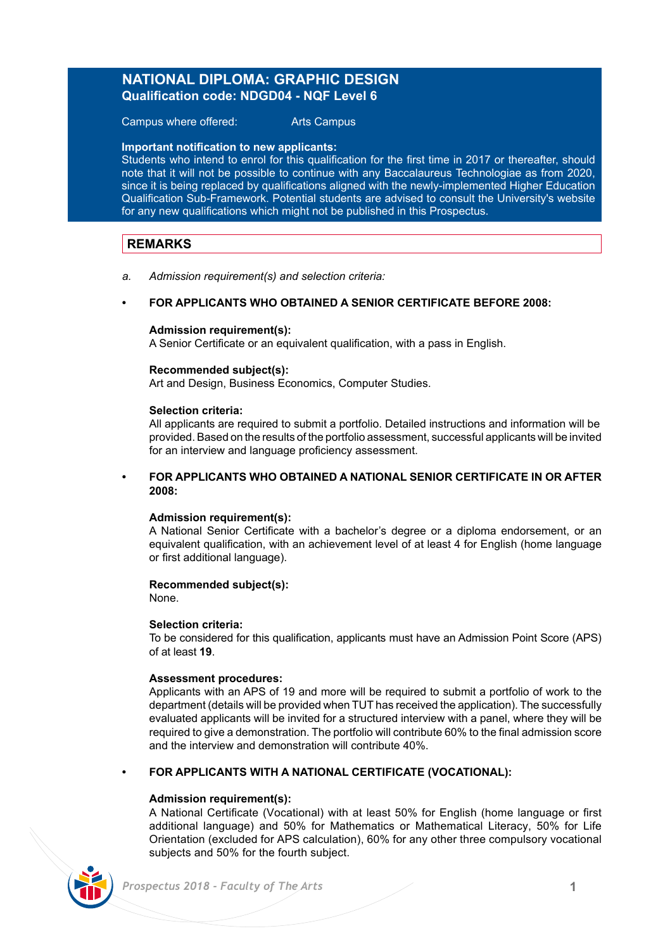## **NATIONAL DIPLOMA: GRAPHIC DESIGN Qualification code: NDGD04 - NQF Level 6**

Campus where offered: Arts Campus

### **Important notification to new applicants:**

Students who intend to enrol for this qualification for the first time in 2017 or thereafter, should note that it will not be possible to continue with any Baccalaureus Technologiae as from 2020, since it is being replaced by qualifications aligned with the newly-implemented Higher Education Qualification Sub-Framework. Potential students are advised to consult the University's website for any new qualifications which might not be published in this Prospectus.

## **REMARKS**

*a. Admission requirement(s) and selection criteria:*

## **• FOR APPLICANTS WHO OBTAINED A SENIOR CERTIFICATE BEFORE 2008:**

### **Admission requirement(s):**

A Senior Certificate or an equivalent qualification, with a pass in English.

### **Recommended subject(s):**

Art and Design, Business Economics, Computer Studies.

### **Selection criteria:**

All applicants are required to submit a portfolio. Detailed instructions and information will be provided. Based on the results of the portfolio assessment, successful applicants will be invited for an interview and language proficiency assessment.

## **• FOR APPLICANTS WHO OBTAINED A NATIONAL SENIOR CERTIFICATE IN OR AFTER 2008:**

### **Admission requirement(s):**

A National Senior Certificate with a bachelor's degree or a diploma endorsement, or an equivalent qualification, with an achievement level of at least 4 for English (home language or first additional language).

## **Recommended subject(s):**

None.

### **Selection criteria:**

To be considered for this qualification, applicants must have an Admission Point Score (APS) of at least **19**.

### **Assessment procedures:**

Applicants with an APS of 19 and more will be required to submit a portfolio of work to the department (details will be provided when TUT has received the application). The successfully evaluated applicants will be invited for a structured interview with a panel, where they will be required to give a demonstration. The portfolio will contribute 60% to the final admission score and the interview and demonstration will contribute 40%.

### **• FOR APPLICANTS WITH A NATIONAL CERTIFICATE (VOCATIONAL):**

### **Admission requirement(s):**

A National Certificate (Vocational) with at least 50% for English (home language or first additional language) and 50% for Mathematics or Mathematical Literacy, 50% for Life Orientation (excluded for APS calculation), 60% for any other three compulsory vocational subjects and 50% for the fourth subject.

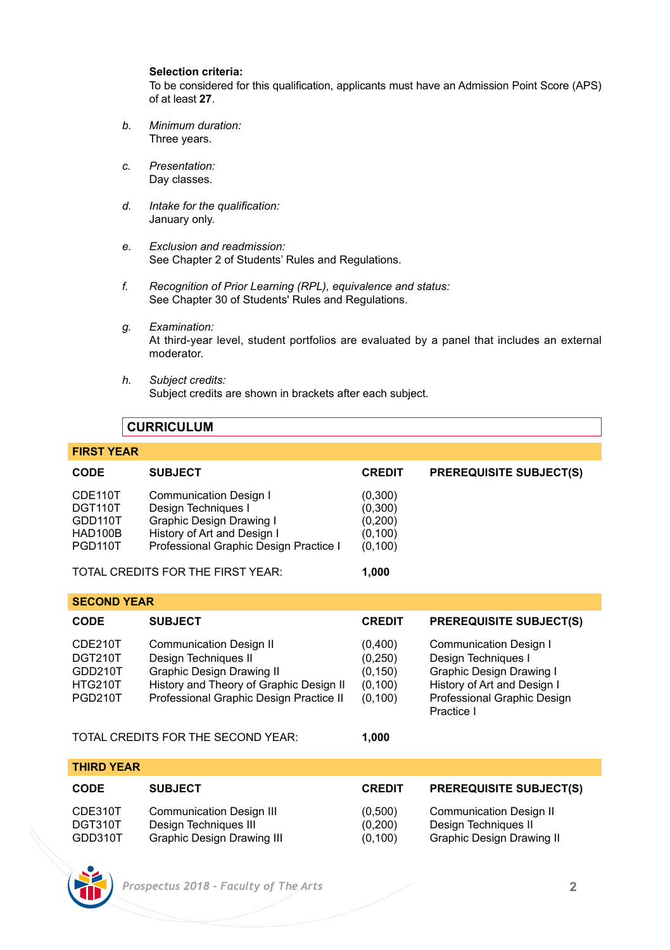## **Selection criteria:**

To be considered for this qualification, applicants must have an Admission Point Score (APS) of at least **27**.

- *b. Minimum duration:* Three years.
- *c. Presentation:*  Day classes.
- *d. Intake for the qualification:* January only.
- *e. Exclusion and readmission:* See Chapter 2 of Students' Rules and Regulations.
- *f. Recognition of Prior Learning (RPL), equivalence and status:* See Chapter 30 of Students' Rules and Regulations.
- *g. Examination:* At third-year level, student portfolios are evaluated by a panel that includes an external moderator.
- *h. Subject credits:* Subject credits are shown in brackets after each subject.

## **CURRICULUM**

## **FIRST YEAR**

| <b>CODE</b>          | <b>SUBJECT</b>                         | <b>CREDIT</b> | <b>PREREQUISITE SUBJECT(S)</b> |  |
|----------------------|----------------------------------------|---------------|--------------------------------|--|
| CDE110T              | Communication Design I                 | (0,300)       |                                |  |
| DGT110T              | Design Techniques I                    | (0,300)       |                                |  |
| GDD110T              | Graphic Design Drawing I               | (0,200)       |                                |  |
| HAD100B              | History of Art and Design I            | (0, 100)      |                                |  |
| PGD <sub>110</sub> T | Professional Graphic Design Practice I | (0, 100)      |                                |  |
|                      | TOTAL CREDITS FOR THE FIRST YEAR:      | 1.000         |                                |  |

|  | <b>SECOND YEAR</b> |  |
|--|--------------------|--|
|  |                    |  |

| <b>CODE</b>                                                       | <b>SUBJECT</b>                                                                                                                                                            | <b>CREDIT</b>                                          | <b>PREREQUISITE SUBJECT(S)</b>                                                                                                                               |  |
|-------------------------------------------------------------------|---------------------------------------------------------------------------------------------------------------------------------------------------------------------------|--------------------------------------------------------|--------------------------------------------------------------------------------------------------------------------------------------------------------------|--|
| CDE210T<br>DGT210T<br>GDD210T<br><b>HTG210T</b><br><b>PGD210T</b> | <b>Communication Design II</b><br>Design Techniques II<br>Graphic Design Drawing II<br>History and Theory of Graphic Design II<br>Professional Graphic Design Practice II | (0,400)<br>(0,250)<br>(0, 150)<br>(0, 100)<br>(0, 100) | <b>Communication Design I</b><br>Design Techniques I<br>Graphic Design Drawing I<br>History of Art and Design I<br>Professional Graphic Design<br>Practice I |  |
|                                                                   |                                                                                                                                                                           |                                                        |                                                                                                                                                              |  |

TOTAL CREDITS FOR THE SECOND YEAR: **1,000**

| THIRD YEAR                    |                                                                                               |                                |                                                                                     |  |
|-------------------------------|-----------------------------------------------------------------------------------------------|--------------------------------|-------------------------------------------------------------------------------------|--|
| <b>CODE</b>                   | <b>SUBJECT</b>                                                                                | <b>CREDIT</b>                  | <b>PREREQUISITE SUBJECT(S)</b>                                                      |  |
| CDE310T<br>DGT310T<br>GDD310T | <b>Communication Design III</b><br>Design Techniques III<br><b>Graphic Design Drawing III</b> | (0,500)<br>(0.200)<br>(0, 100) | <b>Communication Design II</b><br>Design Techniques II<br>Graphic Design Drawing II |  |

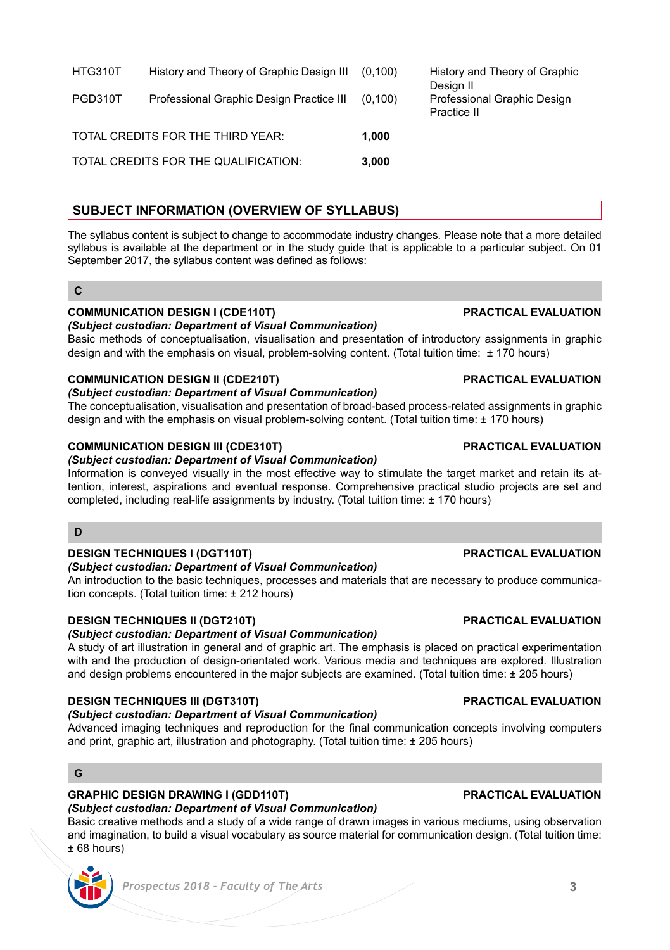| HTG310T | History and Theory of Graphic Design III | (0.100) | History and Theory of Graphic<br>Desian II |
|---------|------------------------------------------|---------|--------------------------------------------|
| PGD310T | Professional Graphic Design Practice III | (0.100) | Professional Graphic Design<br>Practice II |
|         | TOTAL CREDITS FOR THE THIRD YEAR:        | 1.000   |                                            |
|         | TOTAL CREDITS FOR THE QUALIFICATION:     | 3.000   |                                            |

## **SUBJECT INFORMATION (OVERVIEW OF SYLLABUS)**

The syllabus content is subject to change to accommodate industry changes. Please note that a more detailed syllabus is available at the department or in the study guide that is applicable to a particular subject. On 01 September 2017, the syllabus content was defined as follows:

## **COMMUNICATION DESIGN I (CDE110T) PRACTICAL EVALUATION**

### *(Subject custodian: Department of Visual Communication)*

Basic methods of conceptualisation, visualisation and presentation of introductory assignments in graphic design and with the emphasis on visual, problem-solving content. (Total tuition time:  $\pm$  170 hours)

## **COMMUNICATION DESIGN II (CDE210T) PRACTICAL EVALUATION**

### *(Subject custodian: Department of Visual Communication)*

The conceptualisation, visualisation and presentation of broad-based process-related assignments in graphic design and with the emphasis on visual problem-solving content. (Total tuition time: ± 170 hours)

### **COMMUNICATION DESIGN III (CDE310T) PRACTICAL EVALUATION**

## *(Subject custodian: Department of Visual Communication)*

Information is conveyed visually in the most effective way to stimulate the target market and retain its attention, interest, aspirations and eventual response. Comprehensive practical studio projects are set and completed, including real-life assignments by industry. (Total tuition time: ± 170 hours)

### **D**

## **DESIGN TECHNIQUES I (DGT110T) PRACTICAL EVALUATION**

## *(Subject custodian: Department of Visual Communication)*

An introduction to the basic techniques, processes and materials that are necessary to produce communication concepts. (Total tuition time: ± 212 hours)

## **DESIGN TECHNIQUES II (DGT210T) PRACTICAL EVALUATION**

## *(Subject custodian: Department of Visual Communication)*

A study of art illustration in general and of graphic art. The emphasis is placed on practical experimentation with and the production of design-orientated work. Various media and techniques are explored. Illustration and design problems encountered in the major subjects are examined. (Total tuition time: ± 205 hours)

## **DESIGN TECHNIQUES III (DGT310T) PRACTICAL EVALUATION**

## *(Subject custodian: Department of Visual Communication)*

Advanced imaging techniques and reproduction for the final communication concepts involving computers and print, graphic art, illustration and photography. (Total tuition time:  $\pm$  205 hours)

## **G**

## **GRAPHIC DESIGN DRAWING I (GDD110T) PRACTICAL EVALUATION**

*(Subject custodian: Department of Visual Communication)*

Basic creative methods and a study of a wide range of drawn images in various mediums, using observation and imagination, to build a visual vocabulary as source material for communication design. (Total tuition time: ± 68 hours)



**C**